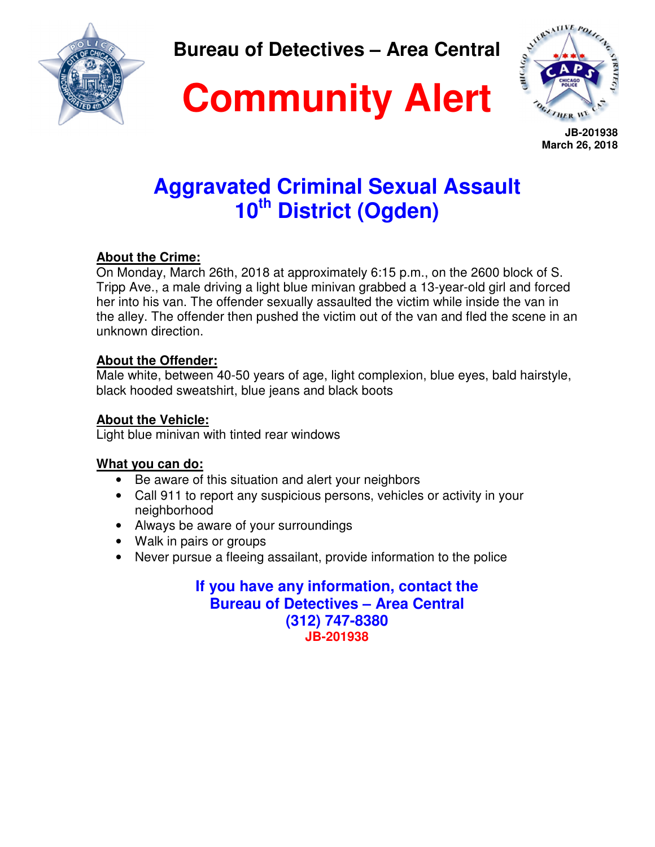

**Bureau of Detectives – Area Central** 

# **Community Alert**



 **JB-201938 March 26, 2018**

### **Aggravated Criminal Sexual Assault 10th District (Ogden)**

### **About the Crime:**

On Monday, March 26th, 2018 at approximately 6:15 p.m., on the 2600 block of S. Tripp Ave., a male driving a light blue minivan grabbed a 13-year-old girl and forced her into his van. The offender sexually assaulted the victim while inside the van in the alley. The offender then pushed the victim out of the van and fled the scene in an unknown direction.

### **About the Offender:**

Male white, between 40-50 years of age, light complexion, blue eyes, bald hairstyle, black hooded sweatshirt, blue jeans and black boots

### **About the Vehicle:**

Light blue minivan with tinted rear windows

### **What you can do:**

- Be aware of this situation and alert your neighbors
- Call 911 to report any suspicious persons, vehicles or activity in your neighborhood
- Always be aware of your surroundings
- Walk in pairs or groups
- Never pursue a fleeing assailant, provide information to the police

**If you have any information, contact the Bureau of Detectives – Area Central (312) 747-8380 JB-201938**